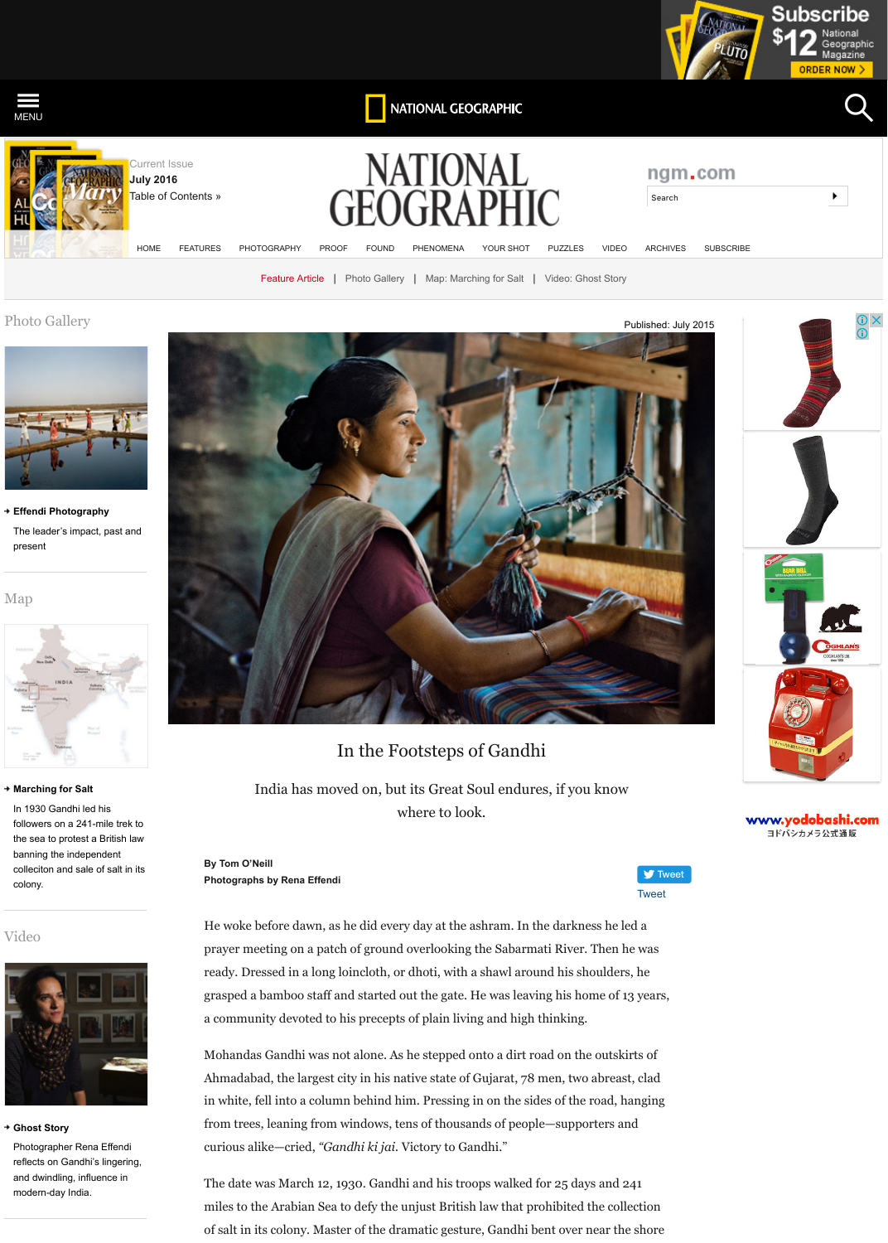#### present

Map





# [In the Footsteps of Gandhi](http://ngm.nationalgeographic.com/)

[India has](http://photography.nationalgeographic.com/photography/) [moved](http://proof.nationalgeographic.com/) [on, bu](http://natgeofound.tumblr.com/)t [its Great S](http://phenomena.nationalgeographic.com/)[oul endure](http://ngm.nationalgeographic.com/your-shot/your-shot) [wh](http://ngm.nationalgeographic.com/2015/07/gandhi/effendi-photography)[ere to look.](http://ngm.nationalgeographic.com/2015/07/gandhi/march-map)

**By Tom O'Neill Photographs by Rena Effendi**

He woke before dawn, as he did every day at the ashram. In the prayer meeting on a patch of ground overlooking the Sabarma ready. Dressed in a long loincloth, or dhoti, with a shawl around grasped a bamboo staff and started out the gate. He was leaving a community devoted to his precepts of plain living and high the

Mohandas Gandhi was not alone. As he stepped onto a dirt road Ahmadabad, the largest city in his native state of Gujarat, 78 negative in white, fell into a column behind him. Pressing in on the side from trees, leaning from windows, tens of thousands of people curious alike—cried, *"Gandhi ki jai.* Victory to Gandhi."

The date was March 12, 1930. Gandhi and his troops walked for miles to the Arabian Sea to defy the unjust British law that pro of salt in its colony. Master of the dramatic gesture, Gandhi be

#### **Marching for Salt**

In 1930 Gandhi led his followers on a 241-mile trek to the sea to protest a British law banning the independent colleciton and sale of salt in its colony.

## [Video](http://ngm.nationalgeographic.com/2015/07/gandhi/effendi-photography)



### **Ghost Story**

Photographer Rena Effendi reflects on Gandhi's lingering, [and dwindling, influence in](http://ngm.nationalgeographic.com/2015/07/gandhi/march-map) modern-day India.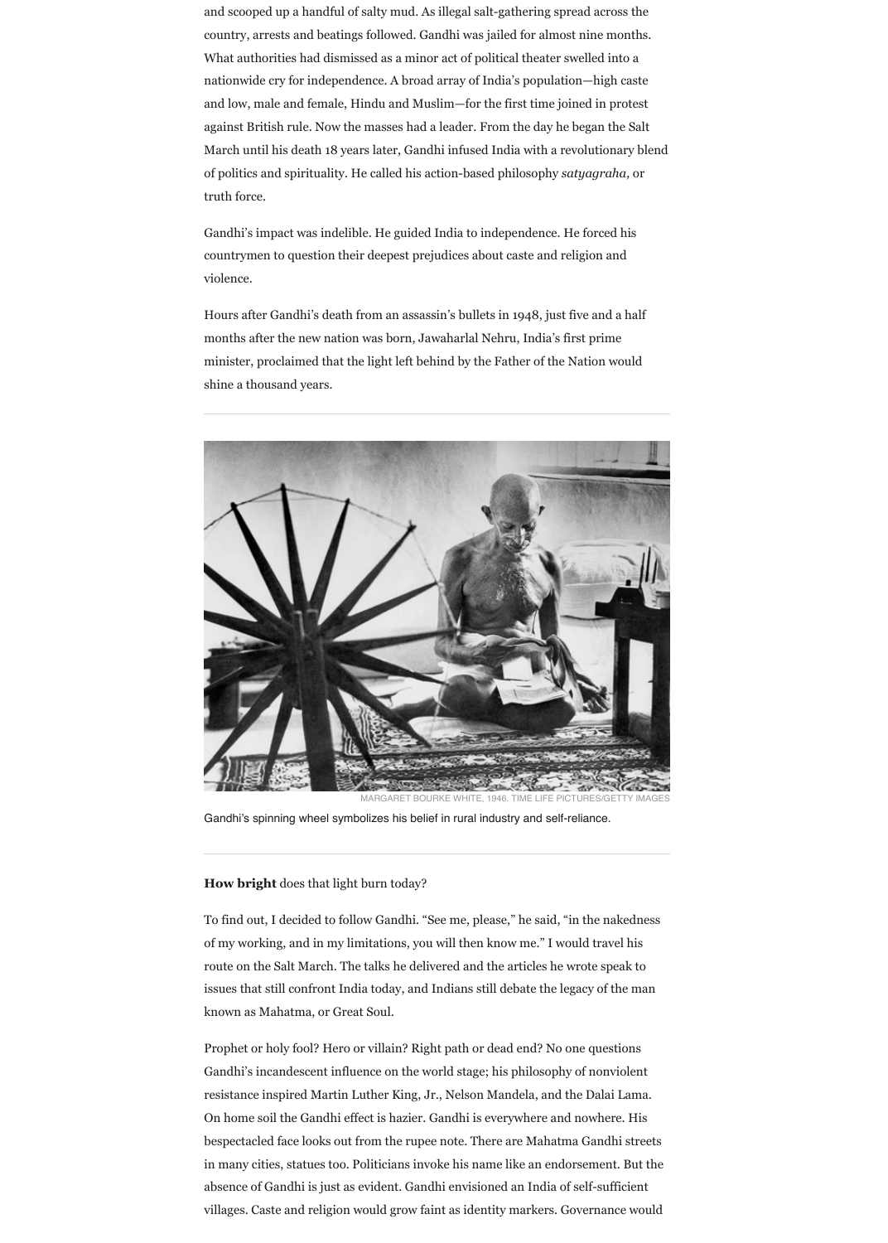and scooped up a handful of salty mud. As illegal salt-gathering spread across the country, arrests and beatings followed. Gandhi was jailed for almost nine months. What authorities had dismissed as a minor act of political theater swelled into a nationwide cry for independence. A broad array of India's population—high caste and low, male and female, Hindu and Muslim—for the first time joined in protest against British rule. Now the masses had a leader. From the day he began the Salt March until his death 18 years later, Gandhi infused India with a revolutionary blend of politics and spirituality. He called his action-based philosophy *satyagraha,* or truth force.

Gandhi's impact was indelible. He guided India to independence. He forced his countrymen to question their deepest prejudices about caste and religion and violence.

Hours after Gandhi's death from an assassin's bullets in 1948, just five and a half months after the new nation was born, Jawaharlal Nehru, India's first prime minister, proclaimed that the light left behind by the Father of the Nation would shine a thousand years.



**How bright** does that light burn today?

To find out, I decided to follow Gandhi. "See me, please," he said, "in the nakedness of my working, and in my limitations, you will then know me." I would travel his route on the Salt March. The talks he delivered and the articles he wrote speak to issues that still confront India today, and Indians still debate the legacy of the man known as Mahatma, or Great Soul.

Prophet or holy fool? Hero or villain? Right path or dead end? No one questions Gandhi's incandescent influence on the world stage; his philosophy of nonviolent resistance inspired Martin Luther King, Jr., Nelson Mandela, and the Dalai Lama. On home soil the Gandhi effect is hazier. Gandhi is everywhere and nowhere. His bespectacled face looks out from the rupee note. There are Mahatma Gandhi streets in many cities, statues too. Politicians invoke his name like an endorsement. But the absence of Gandhi is just as evident. Gandhi envisioned an India of self-sufficient villages. Caste and religion would grow faint as identity markers. Governance would

Gandhi's spinning wheel symbolizes his belief in rural industry and self-reliance.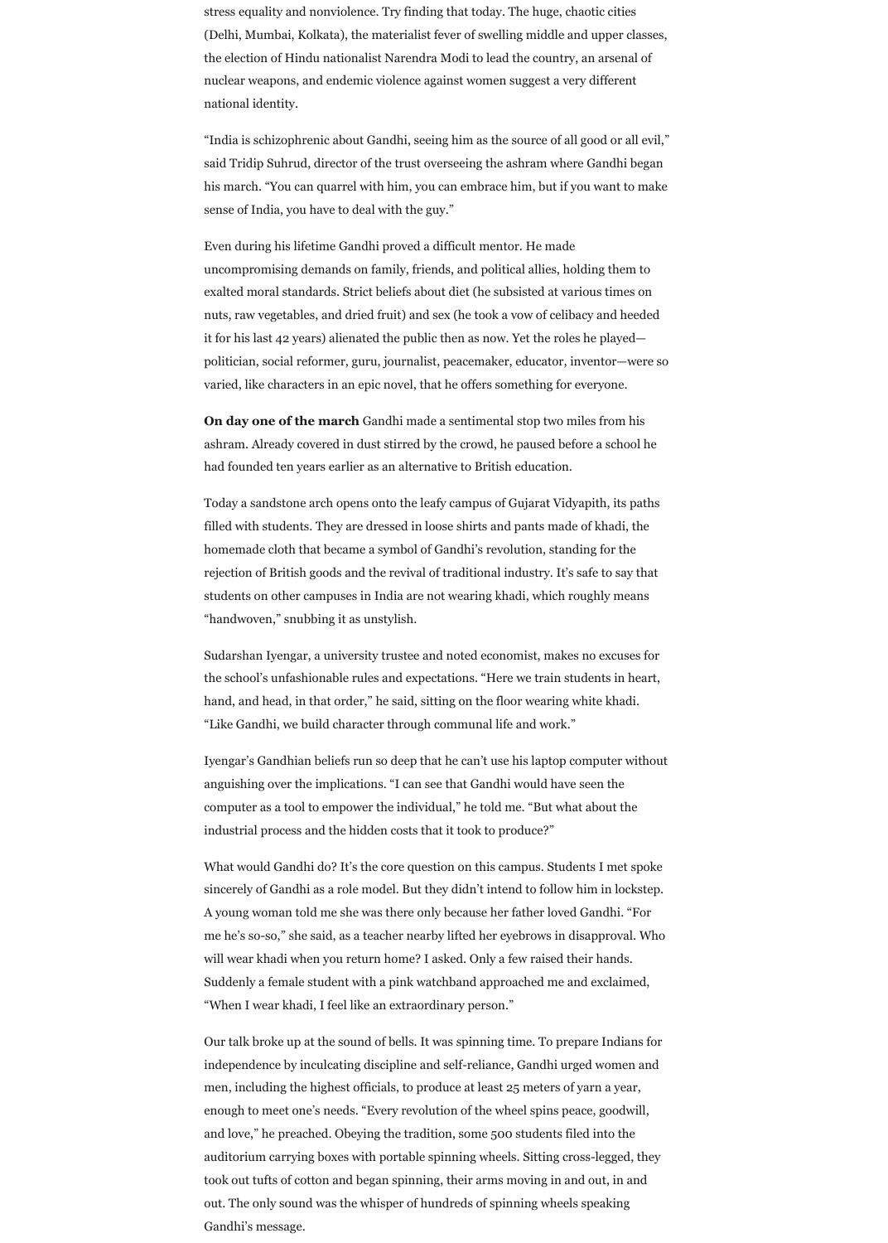stress equality and nonviolence. Try finding that today. The huge, chaotic cities (Delhi, Mumbai, Kolkata), the materialist fever of swelling middle and upper classes, the election of Hindu nationalist Narendra Modi to lead the country, an arsenal of nuclear weapons, and endemic violence against women suggest a very different national identity.

"India is schizophrenic about Gandhi, seeing him as the source of all good or all evil," said Tridip Suhrud, director of the trust overseeing the ashram where Gandhi began his march. "You can quarrel with him, you can embrace him, but if you want to make sense of India, you have to deal with the guy."

Even during his lifetime Gandhi proved a difficult mentor. He made uncompromising demands on family, friends, and political allies, holding them to exalted moral standards. Strict beliefs about diet (he subsisted at various times on nuts, raw vegetables, and dried fruit) and sex (he took a vow of celibacy and heeded it for his last 42 years) alienated the public then as now. Yet the roles he played politician, social reformer, guru, journalist, peacemaker, educator, inventor—were so varied, like characters in an epic novel, that he offers something for everyone.

**On day one of the march** Gandhi made a sentimental stop two miles from his ashram. Already covered in dust stirred by the crowd, he paused before a school he had founded ten years earlier as an alternative to British education.

Today a sandstone arch opens onto the leafy campus of Gujarat Vidyapith, its paths filled with students. They are dressed in loose shirts and pants made of khadi, the homemade cloth that became a symbol of Gandhi's revolution, standing for the rejection of British goods and the revival of traditional industry. It's safe to say that students on other campuses in India are not wearing khadi, which roughly means "handwoven," snubbing it as unstylish.

Sudarshan Iyengar, a university trustee and noted economist, makes no excuses for the school's unfashionable rules and expectations. "Here we train students in heart, hand, and head, in that order," he said, sitting on the floor wearing white khadi. "Like Gandhi, we build character through communal life and work."

Iyengar's Gandhian beliefs run so deep that he can't use his laptop computer without anguishing over the implications. "I can see that Gandhi would have seen the

computer as a tool to empower the individual," he told me. "But what about the industrial process and the hidden costs that it took to produce?"

What would Gandhi do? It's the core question on this campus. Students I met spoke sincerely of Gandhi as a role model. But they didn't intend to follow him in lockstep. A young woman told me she was there only because her father loved Gandhi. "For me he's so-so," she said, as a teacher nearby lifted her eyebrows in disapproval. Who will wear khadi when you return home? I asked. Only a few raised their hands. Suddenly a female student with a pink watchband approached me and exclaimed, "When I wear khadi, I feel like an extraordinary person."

Our talk broke up at the sound of bells. It was spinning time. To prepare Indians for independence by inculcating discipline and self-reliance, Gandhi urged women and men, including the highest officials, to produce at least 25 meters of yarn a year, enough to meet one's needs. "Every revolution of the wheel spins peace, goodwill, and love," he preached. Obeying the tradition, some 500 students filed into the auditorium carrying boxes with portable spinning wheels. Sitting cross-legged, they took out tufts of cotton and began spinning, their arms moving in and out, in and out. The only sound was the whisper of hundreds of spinning wheels speaking Gandhi's message.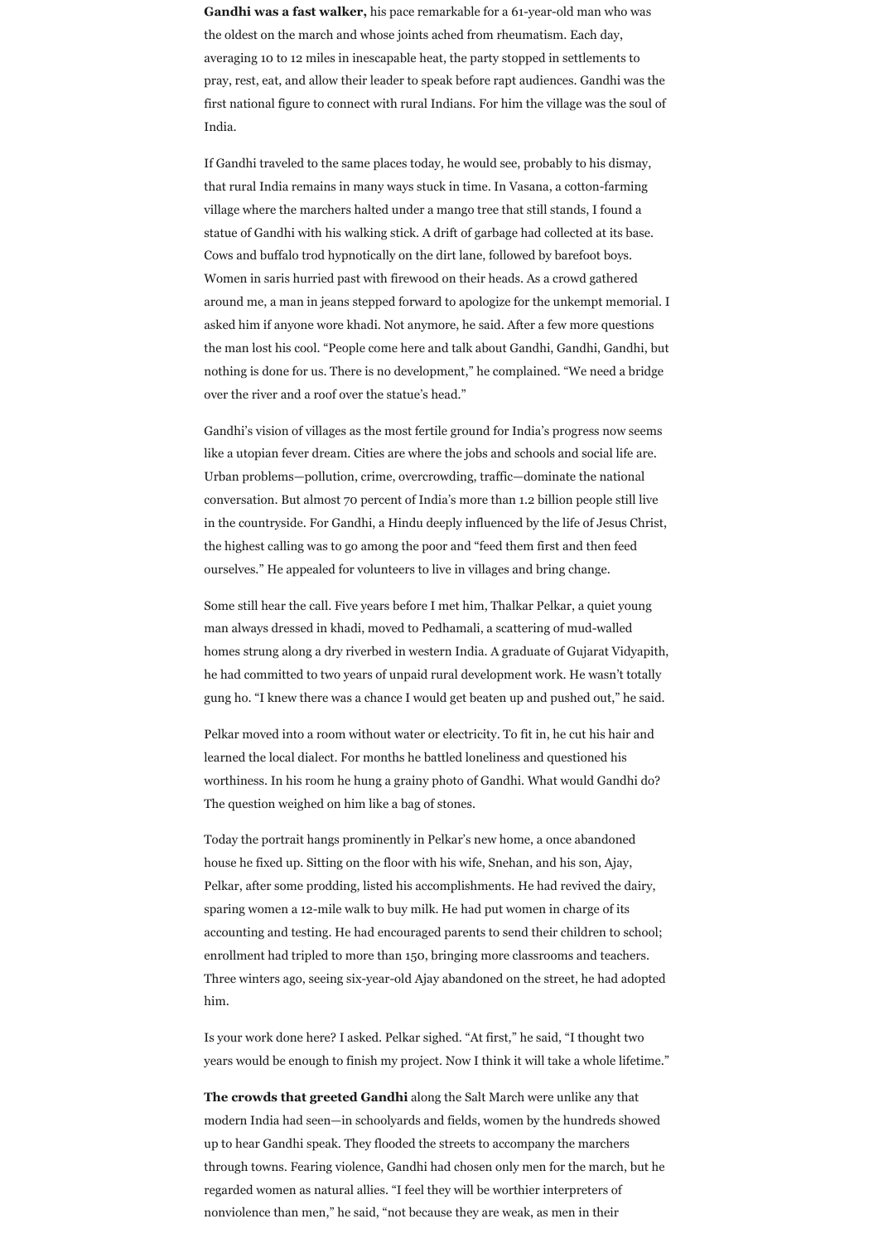**Gandhi was a fast walker,** his pace remarkable for a 61-year-old man who was the oldest on the march and whose joints ached from rheumatism. Each day, averaging 10 to 12 miles in inescapable heat, the party stopped in settlements to pray, rest, eat, and allow their leader to speak before rapt audiences. Gandhi was the first national figure to connect with rural Indians. For him the village was the soul of India.

If Gandhi traveled to the same places today, he would see, probably to his dismay, that rural India remains in many ways stuck in time. In Vasana, a cotton-farming village where the marchers halted under a mango tree that still stands, I found a statue of Gandhi with his walking stick. A drift of garbage had collected at its base. Cows and buffalo trod hypnotically on the dirt lane, followed by barefoot boys. Women in saris hurried past with firewood on their heads. As a crowd gathered around me, a man in jeans stepped forward to apologize for the unkempt memorial. I asked him if anyone wore khadi. Not anymore, he said. After a few more questions the man lost his cool. "People come here and talk about Gandhi, Gandhi, Gandhi, but nothing is done for us. There is no development," he complained. "We need a bridge over the river and a roof over the statue's head."

Gandhi's vision of villages as the most fertile ground for India's progress now seems like a utopian fever dream. Cities are where the jobs and schools and social life are. Urban problems—pollution, crime, overcrowding, traffic—dominate the national conversation. But almost 70 percent of India's more than 1.2 billion people still live in the countryside. For Gandhi, a Hindu deeply influenced by the life of Jesus Christ, the highest calling was to go among the poor and "feed them first and then feed ourselves." He appealed for volunteers to live in villages and bring change.

Some still hear the call. Five years before I met him, Thalkar Pelkar, a quiet young man always dressed in khadi, moved to Pedhamali, a scattering of mud-walled homes strung along a dry riverbed in western India. A graduate of Gujarat Vidyapith, he had committed to two years of unpaid rural development work. He wasn't totally gung ho. "I knew there was a chance I would get beaten up and pushed out," he said.

Pelkar moved into a room without water or electricity. To fit in, he cut his hair and learned the local dialect. For months he battled loneliness and questioned his worthiness. In his room he hung a grainy photo of Gandhi. What would Gandhi do?

The question weighed on him like a bag of stones.

Today the portrait hangs prominently in Pelkar's new home, a once abandoned house he fixed up. Sitting on the floor with his wife, Snehan, and his son, Ajay, Pelkar, after some prodding, listed his accomplishments. He had revived the dairy, sparing women a 12-mile walk to buy milk. He had put women in charge of its accounting and testing. He had encouraged parents to send their children to school; enrollment had tripled to more than 150, bringing more classrooms and teachers. Three winters ago, seeing six-year-old Ajay abandoned on the street, he had adopted him.

Is your work done here? I asked. Pelkar sighed. "At first," he said, "I thought two years would be enough to finish my project. Now I think it will take a whole lifetime."

**The crowds that greeted Gandhi** along the Salt March were unlike any that modern India had seen—in schoolyards and fields, women by the hundreds showed up to hear Gandhi speak. They flooded the streets to accompany the marchers through towns. Fearing violence, Gandhi had chosen only men for the march, but he regarded women as natural allies. "I feel they will be worthier interpreters of nonviolence than men," he said, "not because they are weak, as men in their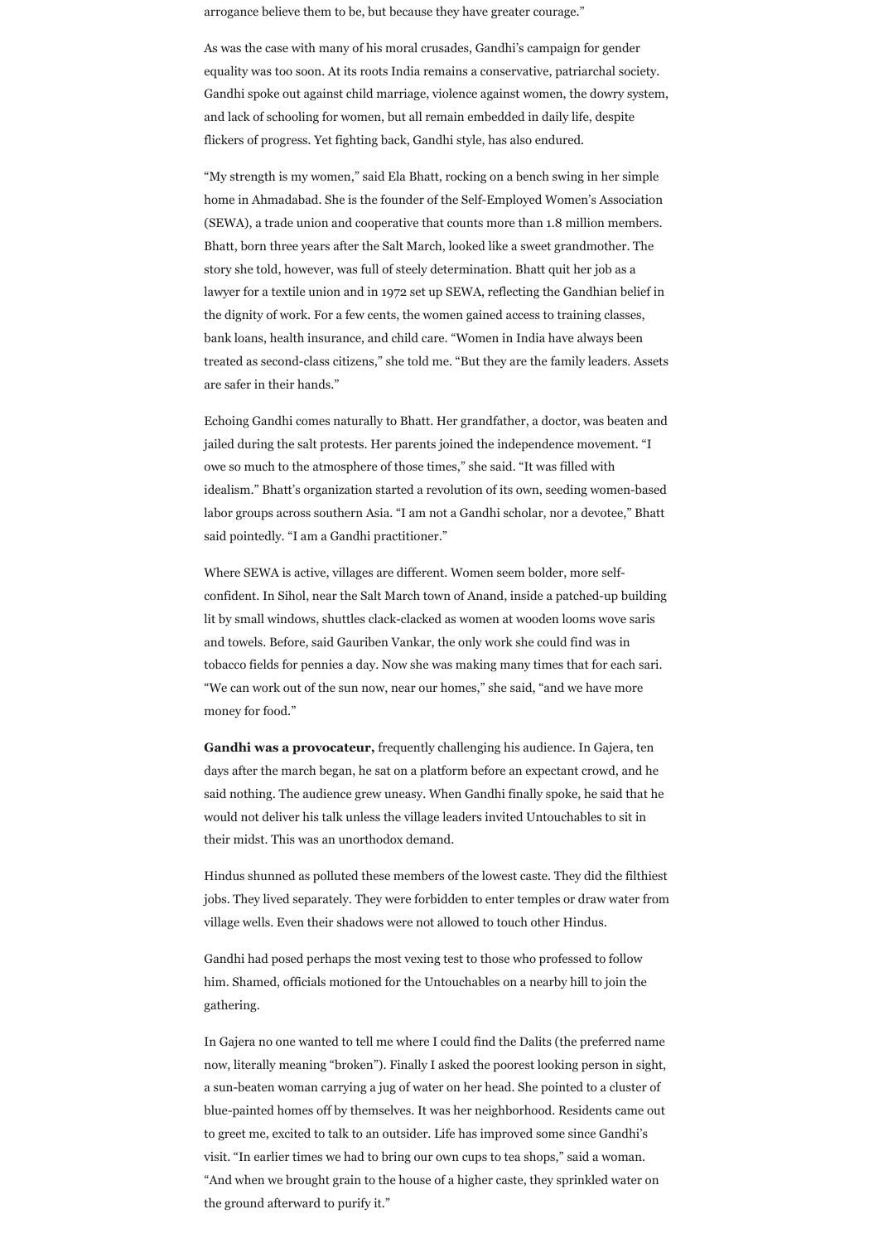arrogance believe them to be, but because they have greater courage."

As was the case with many of his moral crusades, Gandhi's campaign for gender equality was too soon. At its roots India remains a conservative, patriarchal society. Gandhi spoke out against child marriage, violence against women, the dowry system, and lack of schooling for women, but all remain embedded in daily life, despite flickers of progress. Yet fighting back, Gandhi style, has also endured.

"My strength is my women," said Ela Bhatt, rocking on a bench swing in her simple home in Ahmadabad. She is the founder of the Self-Employed Women's Association (SEWA), a trade union and cooperative that counts more than 1.8 million members. Bhatt, born three years after the Salt March, looked like a sweet grandmother. The story she told, however, was full of steely determination. Bhatt quit her job as a lawyer for a textile union and in 1972 set up SEWA, reflecting the Gandhian belief in the dignity of work. For a few cents, the women gained access to training classes, bank loans, health insurance, and child care. "Women in India have always been treated as second-class citizens," she told me. "But they are the family leaders. Assets are safer in their hands."

Echoing Gandhi comes naturally to Bhatt. Her grandfather, a doctor, was beaten and jailed during the salt protests. Her parents joined the independence movement. "I owe so much to the atmosphere of those times," she said. "It was filled with idealism." Bhatt's organization started a revolution of its own, seeding women-based labor groups across southern Asia. "I am not a Gandhi scholar, nor a devotee," Bhatt said pointedly. "I am a Gandhi practitioner."

Where SEWA is active, villages are different. Women seem bolder, more selfconfident. In Sihol, near the Salt March town of Anand, inside a patched-up building lit by small windows, shuttles clack-clacked as women at wooden looms wove saris and towels. Before, said Gauriben Vankar, the only work she could find was in tobacco fields for pennies a day. Now she was making many times that for each sari. "We can work out of the sun now, near our homes," she said, "and we have more money for food."

**Gandhi was a provocateur,** frequently challenging his audience. In Gajera, ten days after the march began, he sat on a platform before an expectant crowd, and he said nothing. The audience grew uneasy. When Gandhi finally spoke, he said that he

would not deliver his talk unless the village leaders invited Untouchables to sit in their midst. This was an unorthodox demand.

Hindus shunned as polluted these members of the lowest caste. They did the filthiest jobs. They lived separately. They were forbidden to enter temples or draw water from village wells. Even their shadows were not allowed to touch other Hindus.

Gandhi had posed perhaps the most vexing test to those who professed to follow him. Shamed, officials motioned for the Untouchables on a nearby hill to join the gathering.

In Gajera no one wanted to tell me where I could find the Dalits (the preferred name now, literally meaning "broken"). Finally I asked the poorest looking person in sight, a sun-beaten woman carrying a jug of water on her head. She pointed to a cluster of blue-painted homes off by themselves. It was her neighborhood. Residents came out to greet me, excited to talk to an outsider. Life has improved some since Gandhi's visit. "In earlier times we had to bring our own cups to tea shops," said a woman. "And when we brought grain to the house of a higher caste, they sprinkled water on the ground afterward to purify it."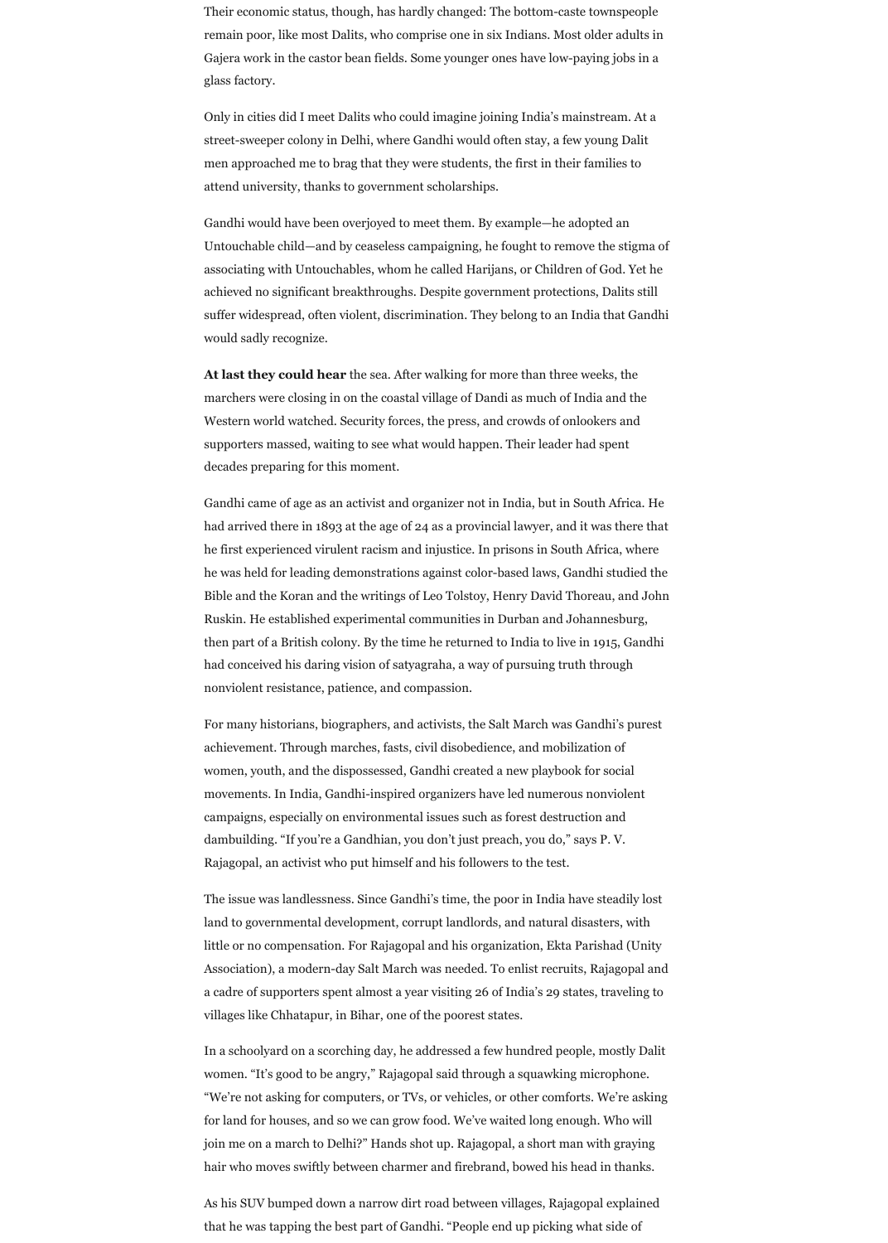Their economic status, though, has hardly changed: The bottom-caste townspeople remain poor, like most Dalits, who comprise one in six Indians. Most older adults in Gajera work in the castor bean fields. Some younger ones have low-paying jobs in a glass factory.

Only in cities did I meet Dalits who could imagine joining India's mainstream. At a street-sweeper colony in Delhi, where Gandhi would often stay, a few young Dalit men approached me to brag that they were students, the first in their families to attend university, thanks to government scholarships.

Gandhi would have been overjoyed to meet them. By example—he adopted an Untouchable child—and by ceaseless campaigning, he fought to remove the stigma of associating with Untouchables, whom he called Harijans, or Children of God. Yet he achieved no significant breakthroughs. Despite government protections, Dalits still suffer widespread, often violent, discrimination. They belong to an India that Gandhi would sadly recognize.

**At last they could hear** the sea. After walking for more than three weeks, the marchers were closing in on the coastal village of Dandi as much of India and the Western world watched. Security forces, the press, and crowds of onlookers and supporters massed, waiting to see what would happen. Their leader had spent decades preparing for this moment.

Gandhi came of age as an activist and organizer not in India, but in South Africa. He had arrived there in 1893 at the age of 24 as a provincial lawyer, and it was there that he first experienced virulent racism and injustice. In prisons in South Africa, where he was held for leading demonstrations against color-based laws, Gandhi studied the Bible and the Koran and the writings of Leo Tolstoy, Henry David Thoreau, and John Ruskin. He established experimental communities in Durban and Johannesburg, then part of a British colony. By the time he returned to India to live in 1915, Gandhi had conceived his daring vision of satyagraha, a way of pursuing truth through nonviolent resistance, patience, and compassion.

For many historians, biographers, and activists, the Salt March was Gandhi's purest achievement. Through marches, fasts, civil disobedience, and mobilization of women, youth, and the dispossessed, Gandhi created a new playbook for social movements. In India, Gandhi-inspired organizers have led numerous nonviolent

campaigns, especially on environmental issues such as forest destruction and dambuilding. "If you're a Gandhian, you don't just preach, you do," says P. V. Rajagopal, an activist who put himself and his followers to the test.

The issue was landlessness. Since Gandhi's time, the poor in India have steadily lost land to governmental development, corrupt landlords, and natural disasters, with little or no compensation. For Rajagopal and his organization, Ekta Parishad (Unity Association), a modern-day Salt March was needed. To enlist recruits, Rajagopal and a cadre of supporters spent almost a year visiting 26 of India's 29 states, traveling to villages like Chhatapur, in Bihar, one of the poorest states.

In a schoolyard on a scorching day, he addressed a few hundred people, mostly Dalit women. "It's good to be angry," Rajagopal said through a squawking microphone. "We're not asking for computers, or TVs, or vehicles, or other comforts. We're asking for land for houses, and so we can grow food. We've waited long enough. Who will join me on a march to Delhi?" Hands shot up. Rajagopal, a short man with graying hair who moves swiftly between charmer and firebrand, bowed his head in thanks.

As his SUV bumped down a narrow dirt road between villages, Rajagopal explained that he was tapping the best part of Gandhi. "People end up picking what side of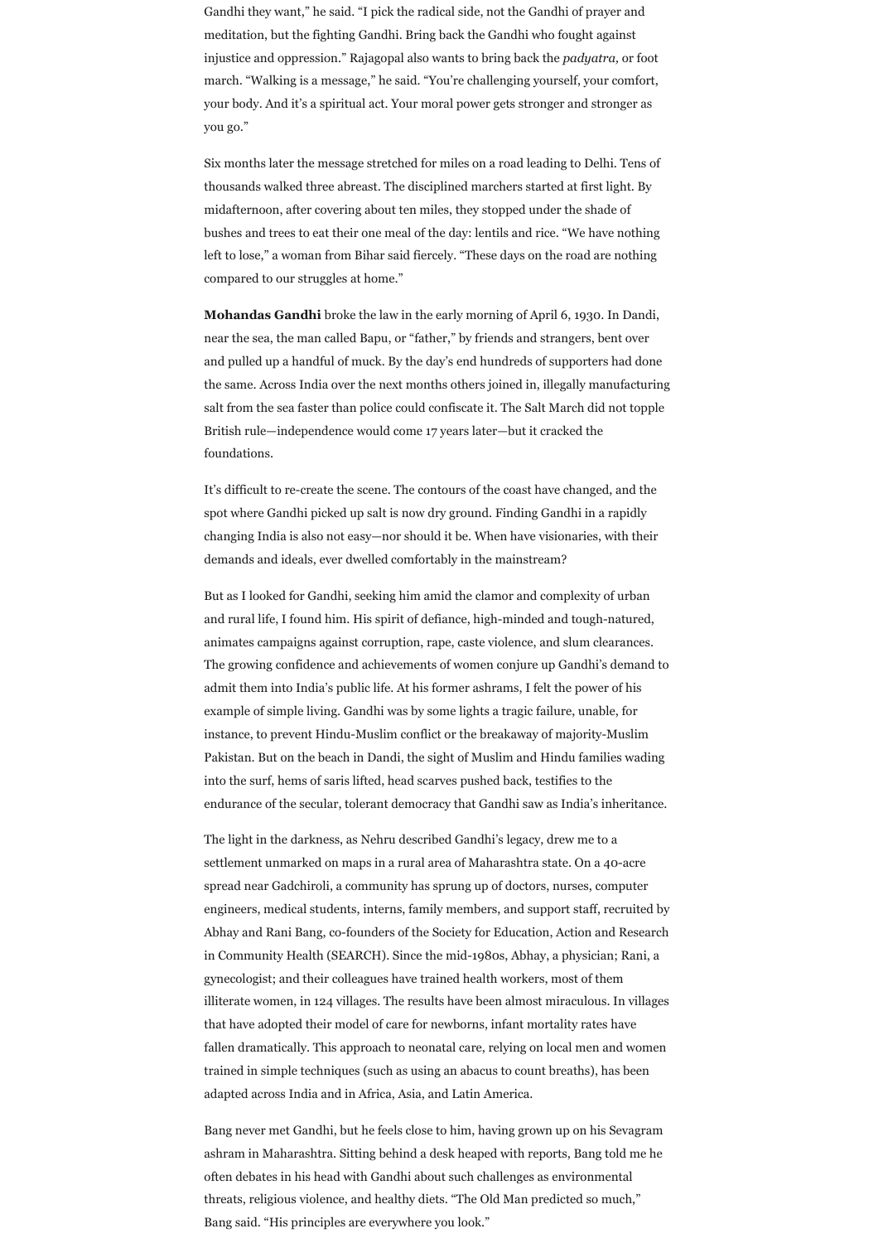Gandhi they want," he said. "I pick the radical side, not the Gandhi of prayer and meditation, but the fighting Gandhi. Bring back the Gandhi who fought against injustice and oppression." Rajagopal also wants to bring back the *padyatra,* or foot march. "Walking is a message," he said. "You're challenging yourself, your comfort, your body. And it's a spiritual act. Your moral power gets stronger and stronger as you go."

Six months later the message stretched for miles on a road leading to Delhi. Tens of thousands walked three abreast. The disciplined marchers started at first light. By midafternoon, after covering about ten miles, they stopped under the shade of bushes and trees to eat their one meal of the day: lentils and rice. "We have nothing left to lose," a woman from Bihar said fiercely. "These days on the road are nothing compared to our struggles at home."

**Mohandas Gandhi** broke the law in the early morning of April 6, 1930. In Dandi, near the sea, the man called Bapu, or "father," by friends and strangers, bent over and pulled up a handful of muck. By the day's end hundreds of supporters had done the same. Across India over the next months others joined in, illegally manufacturing salt from the sea faster than police could confiscate it. The Salt March did not topple British rule—independence would come 17 years later—but it cracked the foundations.

It's difficult to re-create the scene. The contours of the coast have changed, and the spot where Gandhi picked up salt is now dry ground. Finding Gandhi in a rapidly changing India is also not easy—nor should it be. When have visionaries, with their demands and ideals, ever dwelled comfortably in the mainstream?

But as I looked for Gandhi, seeking him amid the clamor and complexity of urban and rural life, I found him. His spirit of defiance, high-minded and tough-natured, animates campaigns against corruption, rape, caste violence, and slum clearances. The growing confidence and achievements of women conjure up Gandhi's demand to admit them into India's public life. At his former ashrams, I felt the power of his example of simple living. Gandhi was by some lights a tragic failure, unable, for instance, to prevent Hindu-Muslim conflict or the breakaway of majority-Muslim Pakistan. But on the beach in Dandi, the sight of Muslim and Hindu families wading into the surf, hems of saris lifted, head scarves pushed back, testifies to the

endurance of the secular, tolerant democracy that Gandhi saw as India's inheritance.

The light in the darkness, as Nehru described Gandhi's legacy, drew me to a settlement unmarked on maps in a rural area of Maharashtra state. On a 40-acre spread near Gadchiroli, a community has sprung up of doctors, nurses, computer engineers, medical students, interns, family members, and support staff, recruited by Abhay and Rani Bang, co-founders of the Society for Education, Action and Research in Community Health (SEARCH). Since the mid-1980s, Abhay, a physician; Rani, a gynecologist; and their colleagues have trained health workers, most of them illiterate women, in 124 villages. The results have been almost miraculous. In villages that have adopted their model of care for newborns, infant mortality rates have fallen dramatically. This approach to neonatal care, relying on local men and women trained in simple techniques (such as using an abacus to count breaths), has been adapted across India and in Africa, Asia, and Latin America.

Bang never met Gandhi, but he feels close to him, having grown up on his Sevagram ashram in Maharashtra. Sitting behind a desk heaped with reports, Bang told me he often debates in his head with Gandhi about such challenges as environmental threats, religious violence, and healthy diets. "The Old Man predicted so much," Bang said. "His principles are everywhere you look."